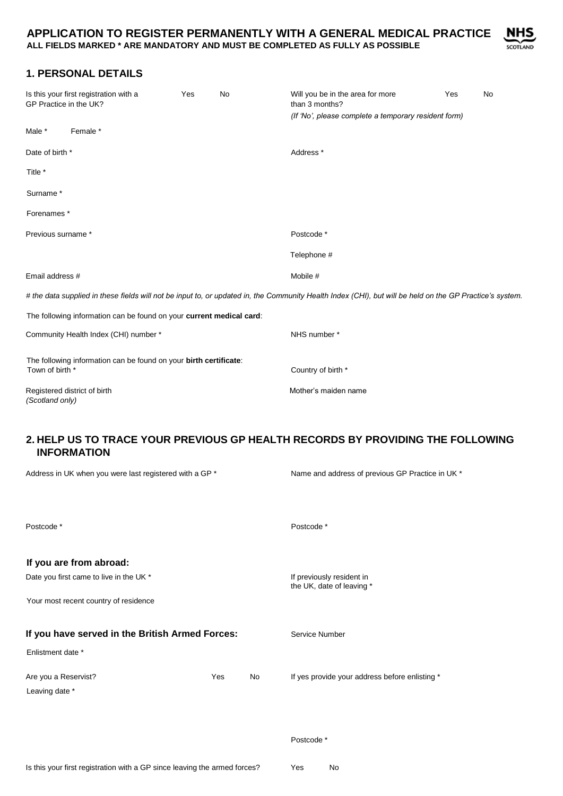

# **1. PERSONAL DETAILS**

| Is this your first registration with a<br>GP Practice in the UK? |                                                                      | Yes | <b>No</b> | Will you be in the area for more<br>than 3 months?<br>(If 'No', please complete a temporary resident form)                                              | Yes | <b>No</b> |  |
|------------------------------------------------------------------|----------------------------------------------------------------------|-----|-----------|---------------------------------------------------------------------------------------------------------------------------------------------------------|-----|-----------|--|
| Male *                                                           | Female *                                                             |     |           |                                                                                                                                                         |     |           |  |
| Date of birth *                                                  |                                                                      |     |           | Address <sup>*</sup>                                                                                                                                    |     |           |  |
| Title *                                                          |                                                                      |     |           |                                                                                                                                                         |     |           |  |
| Surname*                                                         |                                                                      |     |           |                                                                                                                                                         |     |           |  |
| Forenames *                                                      |                                                                      |     |           |                                                                                                                                                         |     |           |  |
| Previous surname *                                               |                                                                      |     |           | Postcode *                                                                                                                                              |     |           |  |
|                                                                  |                                                                      |     |           | Telephone #                                                                                                                                             |     |           |  |
| Email address #                                                  |                                                                      |     |           | Mobile #                                                                                                                                                |     |           |  |
|                                                                  |                                                                      |     |           | # the data supplied in these fields will not be input to, or updated in, the Community Health Index (CHI), but will be held on the GP Practice's system |     |           |  |
|                                                                  | The following information can be found on your current medical card: |     |           |                                                                                                                                                         |     |           |  |
|                                                                  | Community Health Index (CHI) number *                                |     |           | NHS number *                                                                                                                                            |     |           |  |
| Town of birth *                                                  | The following information can be found on your birth certificate:    |     |           | Country of birth *                                                                                                                                      |     |           |  |
| (Scotland only)                                                  | Registered district of birth                                         |     |           | Mother's maiden name                                                                                                                                    |     |           |  |
|                                                                  |                                                                      |     |           |                                                                                                                                                         |     |           |  |

### **2. HELP US TO TRACE YOUR PREVIOUS GP HEALTH RECORDS BY PROVIDING THE FOLLOWING INFORMATION**

| Address in UK when you were last registered with a GP * | Name and address of previous GP Practice in UK *       |    |                                                |
|---------------------------------------------------------|--------------------------------------------------------|----|------------------------------------------------|
|                                                         |                                                        |    |                                                |
| Postcode*                                               |                                                        |    | Postcode *                                     |
| If you are from abroad:                                 |                                                        |    |                                                |
| Date you first came to live in the UK *                 | If previously resident in<br>the UK, date of leaving * |    |                                                |
| Your most recent country of residence                   |                                                        |    |                                                |
| If you have served in the British Armed Forces:         | Service Number                                         |    |                                                |
| Enlistment date *                                       |                                                        |    |                                                |
| Are you a Reservist?                                    | Yes                                                    | No | If yes provide your address before enlisting * |
| Leaving date *                                          |                                                        |    |                                                |
|                                                         |                                                        |    |                                                |
|                                                         |                                                        |    | Postcode *                                     |
|                                                         |                                                        |    |                                                |